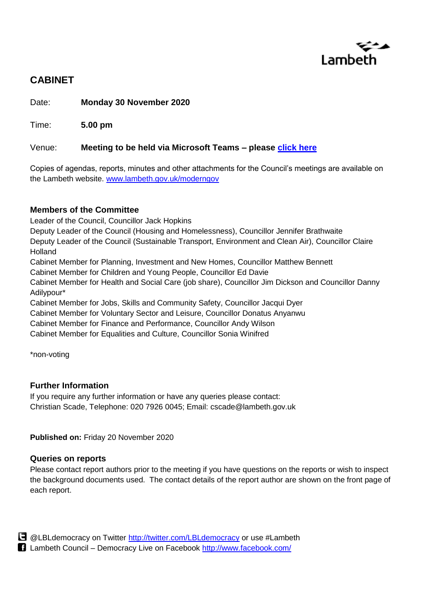

# **CABINET**

Date: **Monday 30 November 2020**

Time: **5.00 pm**

## Venue: **Meeting to be held via Microsoft Teams – please [click here](https://teams.microsoft.com/l/meetup-join/19%3ameeting_ZGNmMTViZWQtNTE0Ny00NDkwLWE1N2MtMmUwOTg4NjUwNTRj%40thread.v2/0?context=%7b%22Tid%22%3a%22c4f22780-485f-4507-af4a-60a971d6f7fe%22%2c%22Oid%22%3a%22dcb48f61-21ff-4288-aacf-7fbac4849ac3%22%2c%22IsBroadcastMeeting%22%3atrue%7d)**

Copies of agendas, reports, minutes and other attachments for the Council's meetings are available on the Lambeth website. [www.lambeth.gov.uk/moderngov](http://www.lambeth.gov.uk/moderngov)

## **Members of the Committee**

Leader of the Council, Councillor Jack Hopkins

Deputy Leader of the Council (Housing and Homelessness), Councillor Jennifer Brathwaite

Deputy Leader of the Council (Sustainable Transport, Environment and Clean Air), Councillor Claire Holland

Cabinet Member for Planning, Investment and New Homes, Councillor Matthew Bennett

Cabinet Member for Children and Young People, Councillor Ed Davie

Cabinet Member for Health and Social Care (job share), Councillor Jim Dickson and Councillor Danny Adilypour\*

Cabinet Member for Jobs, Skills and Community Safety, Councillor Jacqui Dyer Cabinet Member for Voluntary Sector and Leisure, Councillor Donatus Anyanwu

Cabinet Member for Finance and Performance, Councillor Andy Wilson

Cabinet Member for Equalities and Culture, Councillor Sonia Winifred

\*non-voting

## **Further Information**

If you require any further information or have any queries please contact: Christian Scade, Telephone: 020 7926 0045; Email: cscade@lambeth.gov.uk

**Published on:** Friday 20 November 2020

## **Queries on reports**

Please contact report authors prior to the meeting if you have questions on the reports or wish to inspect the background documents used. The contact details of the report author are shown on the front page of each report.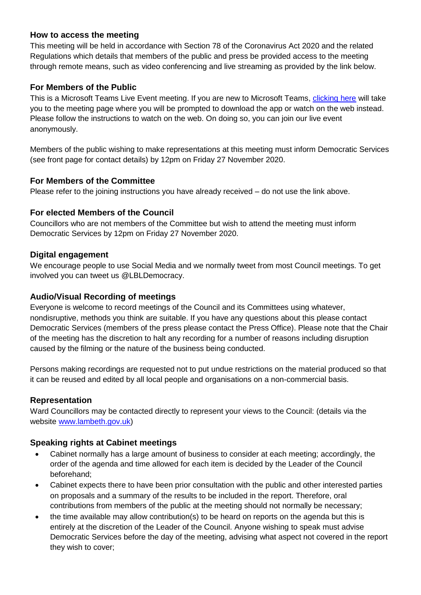## **How to access the meeting**

This meeting will be held in accordance with Section 78 of the Coronavirus Act 2020 and the related Regulations which details that members of the public and press be provided access to the meeting through remote means, such as video conferencing and live streaming as provided by the link below.

## **For Members of the Public**

This is a Microsoft Teams Live Event meeting. If you are new to Microsoft Teams, [clicking here](https://teams.microsoft.com/l/meetup-join/19%3ameeting_ZGNmMTViZWQtNTE0Ny00NDkwLWE1N2MtMmUwOTg4NjUwNTRj%40thread.v2/0?context=%7b%22Tid%22%3a%22c4f22780-485f-4507-af4a-60a971d6f7fe%22%2c%22Oid%22%3a%22dcb48f61-21ff-4288-aacf-7fbac4849ac3%22%2c%22IsBroadcastMeeting%22%3atrue%7d) will take you to the meeting page where you will be prompted to download the app or watch on the web instead. Please follow the instructions to watch on the web. On doing so, you can join our live event anonymously.

Members of the public wishing to make representations at this meeting must inform Democratic Services (see front page for contact details) by 12pm on Friday 27 November 2020.

## **For Members of the Committee**

Please refer to the joining instructions you have already received – do not use the link above.

## **For elected Members of the Council**

Councillors who are not members of the Committee but wish to attend the meeting must inform Democratic Services by 12pm on Friday 27 November 2020.

## **Digital engagement**

We encourage people to use Social Media and we normally tweet from most Council meetings. To get involved you can tweet us @LBLDemocracy.

## **Audio/Visual Recording of meetings**

Everyone is welcome to record meetings of the Council and its Committees using whatever, nondisruptive, methods you think are suitable. If you have any questions about this please contact Democratic Services (members of the press please contact the Press Office). Please note that the Chair of the meeting has the discretion to halt any recording for a number of reasons including disruption caused by the filming or the nature of the business being conducted.

Persons making recordings are requested not to put undue restrictions on the material produced so that it can be reused and edited by all local people and organisations on a non-commercial basis.

## **Representation**

Ward Councillors may be contacted directly to represent your views to the Council: (details via the website [www.lambeth.gov.uk\)](http://www.lambeth.gov.uk/)

## **Speaking rights at Cabinet meetings**

- Cabinet normally has a large amount of business to consider at each meeting; accordingly, the order of the agenda and time allowed for each item is decided by the Leader of the Council beforehand;
- Cabinet expects there to have been prior consultation with the public and other interested parties on proposals and a summary of the results to be included in the report. Therefore, oral contributions from members of the public at the meeting should not normally be necessary;
- the time available may allow contribution(s) to be heard on reports on the agenda but this is entirely at the discretion of the Leader of the Council. Anyone wishing to speak must advise Democratic Services before the day of the meeting, advising what aspect not covered in the report they wish to cover;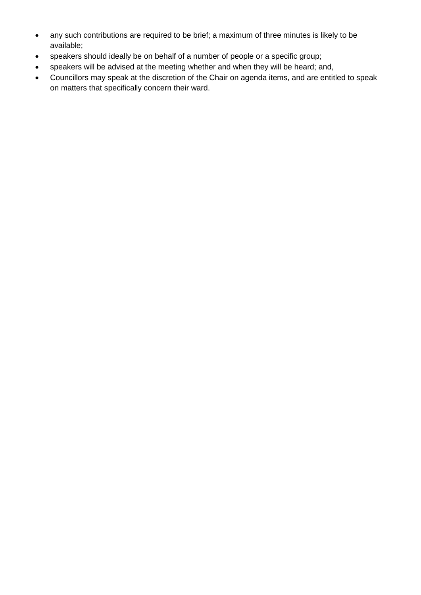- any such contributions are required to be brief; a maximum of three minutes is likely to be available;
- speakers should ideally be on behalf of a number of people or a specific group;
- speakers will be advised at the meeting whether and when they will be heard; and,
- Councillors may speak at the discretion of the Chair on agenda items, and are entitled to speak on matters that specifically concern their ward.